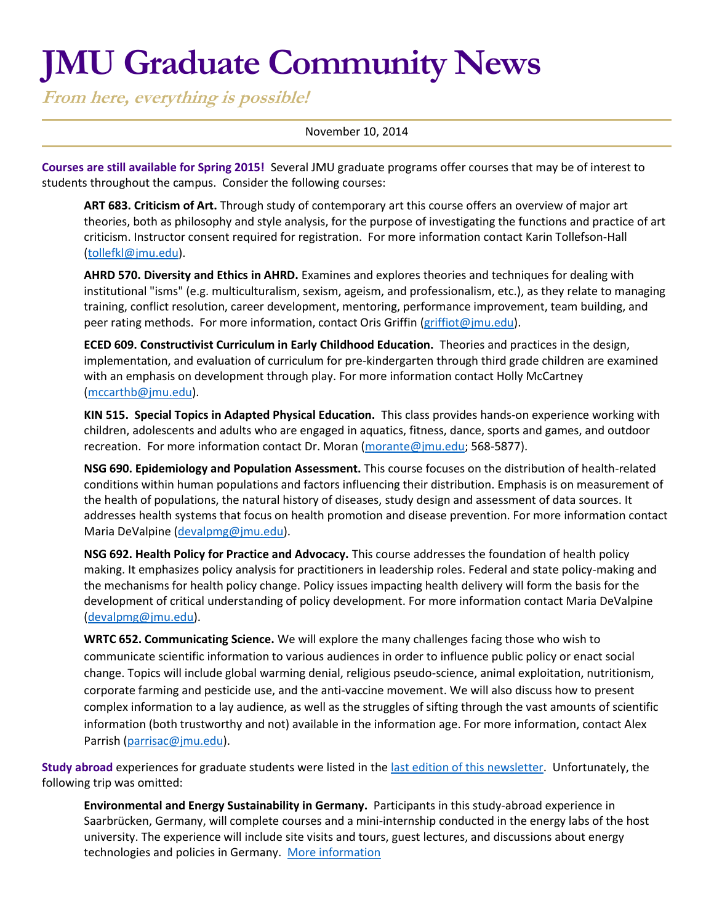# **JMU Graduate Community News**

**From here, everything is possible!**

## November 10, 2014

**Courses are still available for Spring 2015!** Several JMU graduate programs offer courses that may be of interest to students throughout the campus. Consider the following courses:

**ART 683. Criticism of Art.** Through study of contemporary art this course offers an overview of major art theories, both as philosophy and style analysis, for the purpose of investigating the functions and practice of art criticism. Instructor consent required for registration. For more information contact Karin Tollefson-Hall [\(tollefkl@jmu.edu\)](mailto:tollefkl@jmu.edu).

**AHRD 570. Diversity and Ethics in AHRD.** Examines and explores theories and techniques for dealing with institutional "isms" (e.g. multiculturalism, sexism, ageism, and professionalism, etc.), as they relate to managing training, conflict resolution, career development, mentoring, performance improvement, team building, and peer rating methods. For more information, contact Oris Griffin [\(griffiot@jmu.edu\)](mailto:griffiot@jmu.edu).

**ECED 609. Constructivist Curriculum in Early Childhood Education.** Theories and practices in the design, implementation, and evaluation of curriculum for pre-kindergarten through third grade children are examined with an emphasis on development through play. For more information contact Holly McCartney [\(mccarthb@jmu.edu\)](mailto:mccarthb@jmu.edu).

**KIN 515. Special Topics in Adapted Physical Education.** This class provides hands-on experience working with children, adolescents and adults who are engaged in aquatics, fitness, dance, sports and games, and outdoor recreation. For more information contact Dr. Moran [\(morante@jmu.edu;](mailto:morante@jmu.edu) 568-5877).

**NSG 690. Epidemiology and Population Assessment.** This course focuses on the distribution of health-related conditions within human populations and factors influencing their distribution. Emphasis is on measurement of the health of populations, the natural history of diseases, study design and assessment of data sources. It addresses health systems that focus on health promotion and disease prevention. For more information contact Maria DeValpine [\(devalpmg@jmu.edu\)](mailto:devalpmg@jmu.edu).

**NSG 692. Health Policy for Practice and Advocacy.** This course addresses the foundation of health policy making. It emphasizes policy analysis for practitioners in leadership roles. Federal and state policy-making and the mechanisms for health policy change. Policy issues impacting health delivery will form the basis for the development of critical understanding of policy development. For more information contact Maria DeValpine [\(devalpmg@jmu.edu\)](mailto:devalpmg@jmu.edu).

**WRTC 652. Communicating Science.** We will explore the many challenges facing those who wish to communicate scientific information to various audiences in order to influence public policy or enact social change. Topics will include global warming denial, religious pseudo-science, animal exploitation, nutritionism, corporate farming and pesticide use, and the anti-vaccine movement. We will also discuss how to present complex information to a lay audience, as well as the struggles of sifting through the vast amounts of scientific information (both trustworthy and not) available in the information age. For more information, contact Alex Parrish [\(parrisac@jmu.edu\)](mailto:parrisac@jmu.edu).

**Study abroad** experiences for graduate students were listed in the [last edition of this newsletter.](http://www.jmu.edu/grad/communications/community-newsletter/TGS%20E-Mail%20News%2010-13-14.pdf) Unfortunately, the following trip was omitted:

**Environmental and Energy Sustainability in Germany.** Participants in this study-abroad experience in Saarbrücken, Germany, will complete courses and a mini-internship conducted in the energy labs of the host university. The experience will include site visits and tours, guest lectures, and discussions about energy technologies and policies in Germany. [More information](http://www.jmu.edu/international/abroad/programs/jmu-germany-isat.shtml)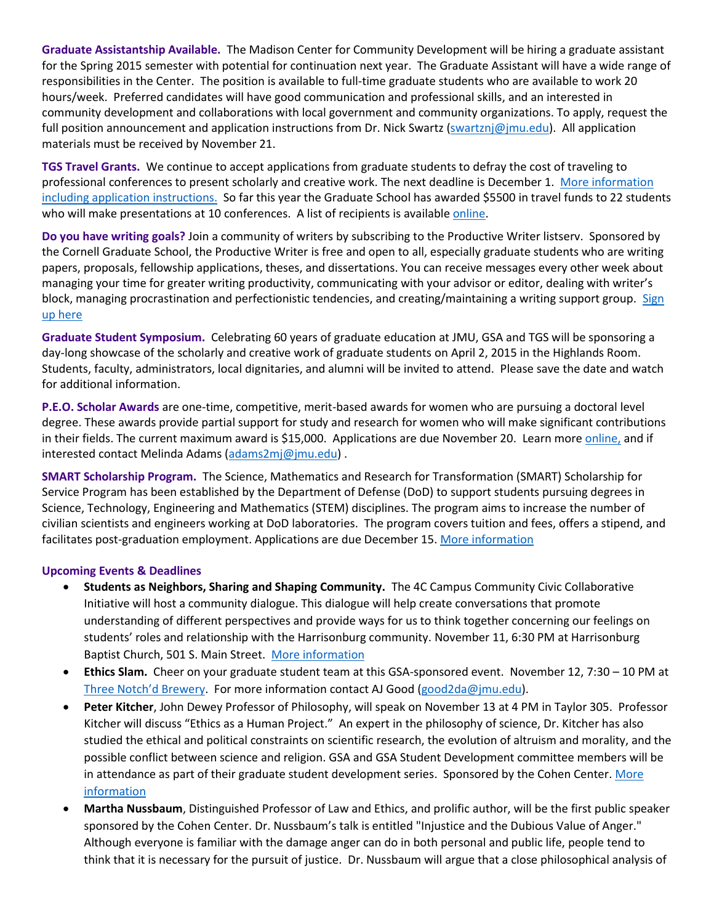**Graduate Assistantship Available.** The Madison Center for Community Development will be hiring a graduate assistant for the Spring 2015 semester with potential for continuation next year. The Graduate Assistant will have a wide range of responsibilities in the Center. The position is available to full-time graduate students who are available to work 20 hours/week. Preferred candidates will have good communication and professional skills, and an interested in community development and collaborations with local government and community organizations. To apply, request the full position announcement and application instructions from Dr. Nick Swartz [\(swartznj@jmu.edu\)](mailto:swartznj@jmu.edu). All application materials must be received by November 21.

**TGS Travel Grants.** We continue to accept applications from graduate students to defray the cost of traveling to professional conferences to present scholarly and creative work. The next deadline is December 1. [More information](http://www.jmu.edu/grad/current-students/travel-grants.shtml)  [including application instructions.](http://www.jmu.edu/grad/current-students/travel-grants.shtml) So far this year the Graduate School has awarded \$5500 in travel funds to 22 students who will make presentations at 10 conferences. A list of recipients is availabl[e online.](http://www.jmu.edu/grad/current-students/awards/travel-grants-recipients.shtml)

**Do you have writing goals?** Join a community of writers by subscribing to the Productive Writer listserv. Sponsored by the Cornell Graduate School, the Productive Writer is free and open to all, especially graduate students who are writing papers, proposals, fellowship applications, theses, and dissertations. You can receive messages every other week about managing your time for greater writing productivity, communicating with your advisor or editor, dealing with writer's block, managing procrastination and perfectionistic tendencies, and creating/maintaining a writing support group. Sign [up here](http://visitor.r20.constantcontact.com/manage/optin/ea?v=0017CAV_ERFAzFItvY27y25gw%3D%3D)

**Graduate Student Symposium.** Celebrating 60 years of graduate education at JMU, GSA and TGS will be sponsoring a day-long showcase of the scholarly and creative work of graduate students on April 2, 2015 in the Highlands Room. Students, faculty, administrators, local dignitaries, and alumni will be invited to attend. Please save the date and watch for additional information.

**P.E.O. Scholar Awards** are one-time, competitive, merit-based awards for women who are pursuing a doctoral level degree. These awards provide partial support for study and research for women who will make significant contributions in their fields. The current maximum award is \$15,000. Applications are due November 20. Learn more [online,](http://www.peointernational.org/about-peo-scholar-awards-psa) and if interested contact Melinda Adams [\(adams2mj@jmu.edu\)](mailto:adams2mj@jmu.edu).

**SMART Scholarship Program.** The Science, Mathematics and Research for Transformation (SMART) Scholarship for Service Program has been established by the Department of Defense (DoD) to support students pursuing degrees in Science, Technology, Engineering and Mathematics (STEM) disciplines. The program aims to increase the number of civilian scientists and engineers working at DoD laboratories. The program covers tuition and fees, offers a stipend, and facilitates post-graduation employment. Applications are due December 15[. More information](http://smart.asee.org/)

## **Upcoming Events & Deadlines**

- **Students as Neighbors, Sharing and Shaping Community.** The 4C Campus Community Civic Collaborative Initiative will host a community dialogue. This dialogue will help create conversations that promote understanding of different perspectives and provide ways for us to think together concerning our feelings on students' roles and relationship with the Harrisonburg community. November 11, 6:30 PM at Harrisonburg Baptist Church, 501 S. Main Street. [More information](http://www.jmu.edu/events/icad/2014/11/11-studentasneighborforum.shtml)
- **Ethics Slam.** Cheer on your graduate student team at this GSA-sponsored event. November 12, 7:30 10 PM at [Three Notch'd Brewery](http://threenotchdbrewing.com/). For more information contact AJ Good [\(good2da@jmu.edu\)](mailto:good2da@jmu.edu).
- **Peter Kitcher**, John Dewey Professor of Philosophy, will speak on November 13 at 4 PM in Taylor 305. Professor Kitcher will discuss "Ethics as a Human Project." An expert in the philosophy of science, Dr. Kitcher has also studied the ethical and political constraints on scientific research, the evolution of altruism and morality, and the possible conflict between science and religion. GSA and GSA Student Development committee members will be in attendance as part of their graduate student development series. Sponsored by the Cohen Center. More [information](http://www.jmu.edu/events/mc/2014/11/13-ethics-as-a-human-project-philip-kitcher.shtml)
- **Martha Nussbaum**, Distinguished Professor of Law and Ethics, and prolific author, will be the first public speaker sponsored by the Cohen Center. Dr. Nussbaum's talk is entitled "Injustice and the Dubious Value of Anger." Although everyone is familiar with the damage anger can do in both personal and public life, people tend to think that it is necessary for the pursuit of justice. Dr. Nussbaum will argue that a close philosophical analysis of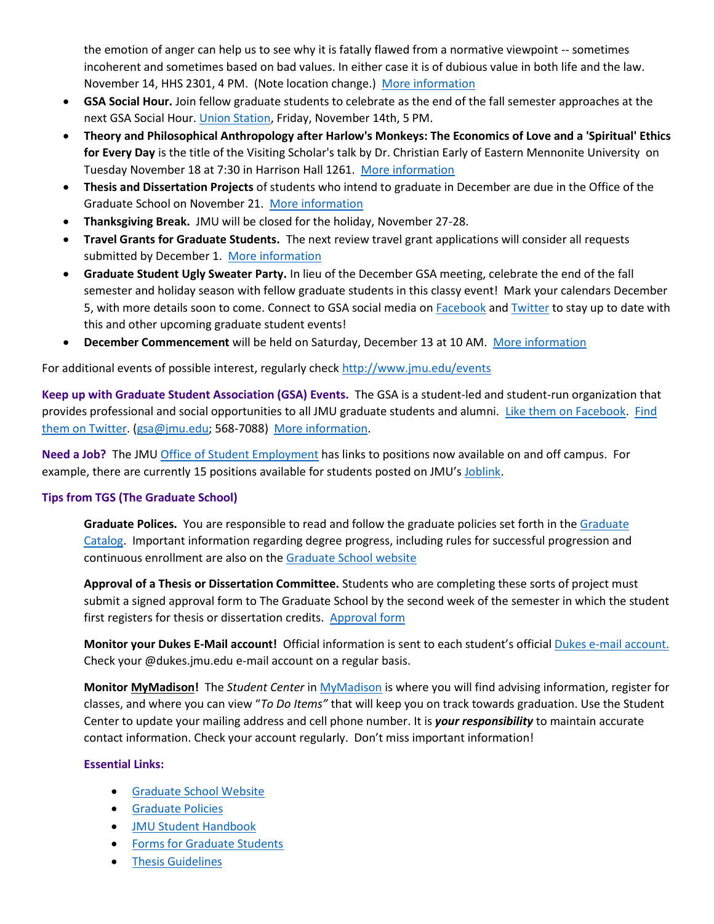the emotion of anger can help us to see why it is fatally flawed from a normative viewpoint -- sometimes incoherent and sometimes based on bad values. In either case it is of dubious value in both life and the law. November 14, HHS 2301, 4 PM. (Note location change.) [More information](http://www.jmu.edu/events/mc/2014/11/09-26-injustice-and-the-dubious-value-of-anger.shtml) 

- **GSA Social Hour.** Join fellow graduate students to celebrate as the end of the fall semester approaches at the next GSA Social Hour. [Union Station,](http://www.unionstationdowntown.com/site/) Friday, November 14th, 5 PM.
- **Theory and Philosophical Anthropology after Harlow's Monkeys: The Economics of Love and a 'Spiritual' Ethics for Every Day** is the title of the Visiting Scholar's talk by Dr. Christian Early of Eastern Mennonite University on Tuesday November 18 at 7:30 in Harrison Hall 1261. [More information](http://www.jmu.edu/events/mc/2014/11/2014-11-18-christian-early-economics-of-love-and-spiritual-ethics.shtml)
- **Thesis and Dissertation Projects** of students who intend to graduate in December are due in the Office of the Graduate School on November 21. [More information](http://www.jmu.edu/grad/current-students/thesis-dissertation/information.shtml)
- **Thanksgiving Break.** JMU will be closed for the holiday, November 27-28.
- **Travel Grants for Graduate Students.** The next review travel grant applications will consider all requests submitted by December 1. [More information](http://www.jmu.edu/grad/current-students/awards/travel-grants.shtml)
- **Graduate Student Ugly Sweater Party.** In lieu of the December GSA meeting, celebrate the end of the fall semester and holiday season with fellow graduate students in this classy event! Mark your calendars December 5, with more details soon to come. Connect to GSA social media on [Facebook](https://www.facebook.com/JMUGSA) an[d Twitter](https://twitter.com/JMUGSA) to stay up to date with this and other upcoming graduate student events!
- **December Commencement** will be held on Saturday, December 13 at 10 AM. [More information](http://www.jmu.edu/commencement/December%20Graduates/index.shtml)

For additional events of possible interest, regularly check<http://www.jmu.edu/events>

**Keep up with Graduate Student Association (GSA) Events.** The GSA is a student-led and student-run organization that provides professional and social opportunities to all JMU graduate students and alumni. [Like them on Facebook.](https://www.facebook.com/JMUGSA?fref=ts) [Find](https://twitter.com/JMUGSA)  [them on Twitter.](https://twitter.com/JMUGSA) [\(gsa@jmu.edu;](mailto:gsa@jmu.edu) 568-7088) [More information.](http://www.jmu.edu/grad/gsa/index.shtml)

**Need a Job?** The JM[U Office of Student](http://www.jmu.edu/stuemploy/) Employment has links to positions now available on and off campus. For example, there are currently 15 positions available for students posted on JMU's [Joblink.](http://joblink.jmu.edu/)

## **Tips from TGS (The Graduate School)**

**Graduate Polices.** You are responsible to read and follow the graduate policies set forth in th[e Graduate](http://jmu.edu/catalog)  [Catalog.](http://jmu.edu/catalog) Important information regarding degree progress, including rules for successful progression and continuous enrollment are also on th[e Graduate School website](http://www.jmu.edu/grad/current-students/degree-progress/beginning.shtml)

**Approval of a Thesis or Dissertation Committee.** Students who are completing these sorts of project must submit a signed approval form to The Graduate School by the second week of the semester in which the student first registers for thesis or dissertation credits. [Approval form](http://www.jmu.edu/grad/_files/CommitteeApprovalForm2014-15.pdf)

**Monitor your Dukes E-Mail account!** Official information is sent to each student's officia[l Dukes e-mail account.](http://www.jmu.edu/computing/helpdesk/selfhelp/DukesEmail.shtml) Check your @dukes.jmu.edu e-mail account on a regular basis.

**Monitor [MyMadison!](http://mymadison.jmu.edu/)** The *Student Center* i[n MyMadison](http://mymadison.jmu.edu/) is where you will find advising information, register for classes, and where you can view "*To Do Items"* that will keep you on track towards graduation. Use the Student Center to update your mailing address and cell phone number. It is *your responsibility* to maintain accurate contact information. Check your account regularly. Don't miss important information!

## **Essential Links:**

- **[Graduate School Website](http://www.jmu.edu/grad)**
- **•** [Graduate Policies](http://www.jmu.edu/catalog/index.shtml)
- [JMU Student Handbook](http://www.jmu.edu/osarp/handbook/)
- **•** [Forms for Graduate Students](http://www.jmu.edu/grad/current-students/graduate-forms.shtml)
- **•** [Thesis Guidelines](http://www.jmu.edu/grad/current-students/thesis-dissertation/information.shtml)